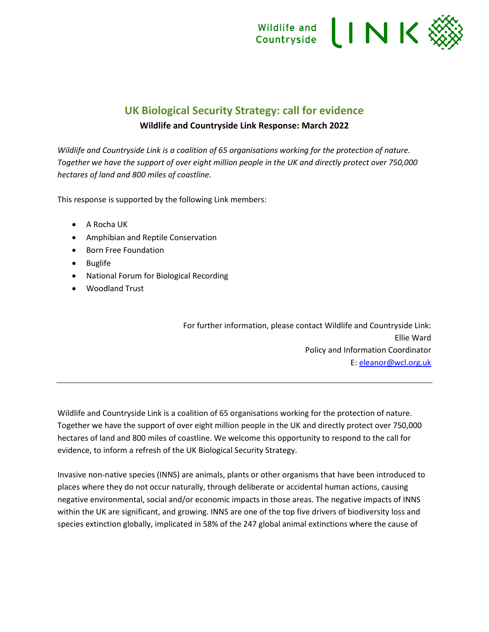

## **UK Biological Security Strategy: call for evidence**

#### **Wildlife and Countryside Link Response: March 2022**

*Wildlife and Countryside Link is a coalition of 65 organisations working for the protection of nature. Together we have the support of over eight million people in the UK and directly protect over 750,000 hectares of land and 800 miles of coastline.*

This response is supported by the following Link members:

- A Rocha UK
- Amphibian and Reptile Conservation
- Born Free Foundation
- Buglife
- National Forum for Biological Recording
- Woodland Trust

For further information, please contact Wildlife and Countryside Link: Ellie Ward Policy and Information Coordinator E: [eleanor@wcl.org.uk](mailto:eleanor@wcl.org.uk)

Wildlife and Countryside Link is a coalition of 65 organisations working for the protection of nature. Together we have the support of over eight million people in the UK and directly protect over 750,000 hectares of land and 800 miles of coastline. We welcome this opportunity to respond to the call for evidence, to inform a refresh of the UK Biological Security Strategy.

Invasive non-native species (INNS) are animals, plants or other organisms that have been introduced to places where they do not occur naturally, through deliberate or accidental human actions, causing negative environmental, social and/or economic impacts in those areas. The negative impacts of INNS within the UK are significant, and growing. INNS are one of the top five drivers of biodiversity loss and species extinction globally, implicated in 58% of the 247 global animal extinctions where the cause of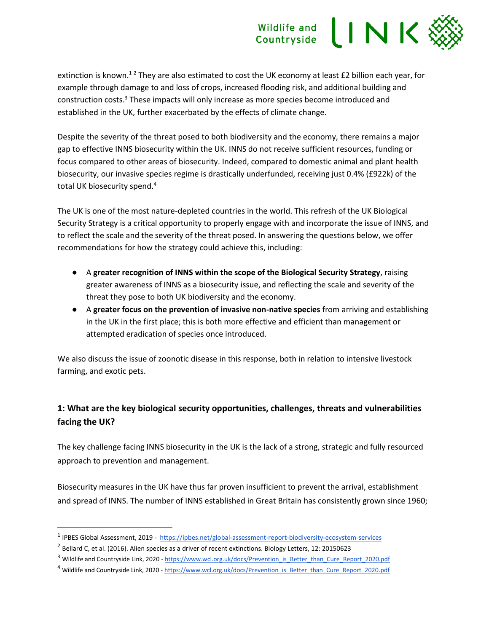extinction is known.<sup>12</sup> They are also estimated to cost the UK economy at least £2 billion each year, for example through damage to and loss of crops, increased flooding risk, and additional building and construction costs.<sup>3</sup> These impacts will only increase as more species become introduced and established in the UK, further exacerbated by the effects of climate change.

Despite the severity of the threat posed to both biodiversity and the economy, there remains a major gap to effective INNS biosecurity within the UK. INNS do not receive sufficient resources, funding or focus compared to other areas of biosecurity. Indeed, compared to domestic animal and plant health biosecurity, our invasive species regime is drastically underfunded, receiving just 0.4% (£922k) of the total UK biosecurity spend.<sup>4</sup>

The UK is one of the most nature-depleted countries in the world. This refresh of the UK Biological Security Strategy is a critical opportunity to properly engage with and incorporate the issue of INNS, and to reflect the scale and the severity of the threat posed. In answering the questions below, we offer recommendations for how the strategy could achieve this, including:

- A **greater recognition of INNS within the scope of the Biological Security Strategy**, raising greater awareness of INNS as a biosecurity issue, and reflecting the scale and severity of the threat they pose to both UK biodiversity and the economy.
- A **greater focus on the prevention of invasive non-native species** from arriving and establishing in the UK in the first place; this is both more effective and efficient than management or attempted eradication of species once introduced.

We also discuss the issue of zoonotic disease in this response, both in relation to intensive livestock farming, and exotic pets.

## **1: What are the key biological security opportunities, challenges, threats and vulnerabilities facing the UK?**

The key challenge facing INNS biosecurity in the UK is the lack of a strong, strategic and fully resourced approach to prevention and management.

Biosecurity measures in the UK have thus far proven insufficient to prevent the arrival, establishment and spread of INNS. The number of INNS established in Great Britain has consistently grown since 1960;

<sup>&</sup>lt;sup>1</sup> IPBES Global Assessment, 2019 -<https://ipbes.net/global-assessment-report-biodiversity-ecosystem-services>

 $^2$  Bellard C, et al. (2016). Alien species as a driver of recent extinctions. Biology Letters, 12: 20150623

<sup>&</sup>lt;sup>3</sup> Wildlife and Countryside Link, 2020 - [https://www.wcl.org.uk/docs/Prevention\\_is\\_Better\\_than\\_Cure\\_Report\\_2020.pdf](https://www.wcl.org.uk/docs/Prevention_is_Better_than_Cure_Report_2020.pdf)

<sup>&</sup>lt;sup>4</sup> Wildlife and Countryside Link, 2020 - [https://www.wcl.org.uk/docs/Prevention\\_is\\_Better\\_than\\_Cure\\_Report\\_2020.pdf](https://www.wcl.org.uk/docs/Prevention_is_Better_than_Cure_Report_2020.pdf)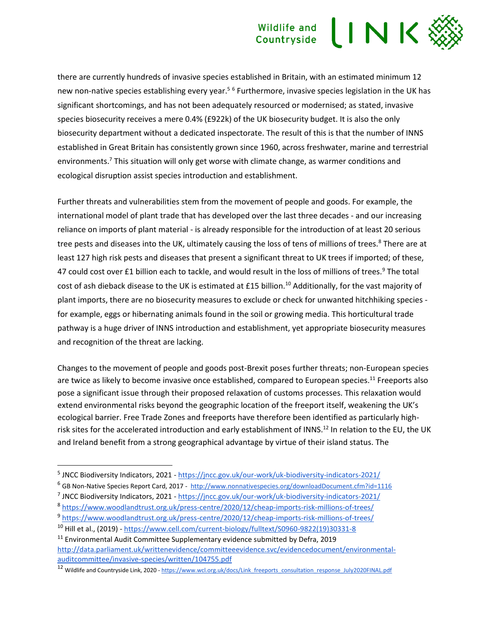## INK Wildlife and Countryside

there are currently hundreds of invasive species established in Britain, with an estimated minimum 12 new non-native species establishing every year.<sup>56</sup> Furthermore, invasive species legislation in the UK has significant shortcomings, and has not been adequately resourced or modernised; as stated, invasive species biosecurity receives a mere 0.4% (£922k) of the UK biosecurity budget. It is also the only biosecurity department without a dedicated inspectorate. The result of this is that the number of INNS established in Great Britain has consistently grown since 1960, across freshwater, marine and terrestrial environments.<sup>7</sup> This situation will only get worse with climate change, as warmer conditions and ecological disruption assist species introduction and establishment.

Further threats and vulnerabilities stem from the movement of people and goods. For example, the international model of plant trade that has developed over the last three decades - and our increasing reliance on imports of plant material - is already responsible for the introduction of at least 20 serious tree pests and diseases into the UK, ultimately causing the loss of tens of millions of trees.<sup>8</sup> There are at least 127 high risk pests and diseases that present a significant threat to UK trees if imported; of these, 47 could cost over £1 billion each to tackle, and would result in the loss of millions of trees.<sup>9</sup> The total cost of ash dieback disease to the UK is estimated at £15 billion.<sup>10</sup> Additionally, for the vast majority of plant imports, there are no biosecurity measures to exclude or check for unwanted hitchhiking species for example, eggs or hibernating animals found in the soil or growing media. This horticultural trade pathway is a huge driver of INNS introduction and establishment, yet appropriate biosecurity measures and recognition of the threat are lacking.

Changes to the movement of people and goods post-Brexit poses further threats; non-European species are twice as likely to become invasive once established, compared to European species.<sup>11</sup> Freeports also pose a significant issue through their proposed relaxation of customs processes. This relaxation would extend environmental risks beyond the geographic location of the freeport itself, weakening the UK's ecological barrier. Free Trade Zones and freeports have therefore been identified as particularly highrisk sites for the accelerated introduction and early establishment of INNS.<sup>12</sup> In relation to the EU, the UK and Ireland benefit from a strong geographical advantage by virtue of their island status. The

8 <https://www.woodlandtrust.org.uk/press-centre/2020/12/cheap-imports-risk-millions-of-trees/>

<sup>&</sup>lt;sup>5</sup> JNCC Biodiversity Indicators, 2021 - <https://jncc.gov.uk/our-work/uk-biodiversity-indicators-2021/>

<sup>6</sup> GB Non-Native Species Report Card, 2017 - <http://www.nonnativespecies.org/downloadDocument.cfm?id=1116>

<sup>&</sup>lt;sup>7</sup> JNCC Biodiversity Indicators, 2021 - <https://jncc.gov.uk/our-work/uk-biodiversity-indicators-2021/>

<sup>9</sup> <https://www.woodlandtrust.org.uk/press-centre/2020/12/cheap-imports-risk-millions-of-trees/>

<sup>10</sup> Hill et al., (2019) - [https://www.cell.com/current-biology/fulltext/S0960-9822\(19\)30331-8](https://www.cell.com/current-biology/fulltext/S0960-9822(19)30331-8)

<sup>&</sup>lt;sup>11</sup> Environmental Audit Committee Supplementary evidence submitted by Defra, 2019 [http://data.parliament.uk/writtenevidence/committeeevidence.svc/evidencedocument/environmental](http://data.parliament.uk/writtenevidence/committeeevidence.svc/evidencedocument/environmental-auditcommittee/invasive-species/written/104755.pdf)[auditcommittee/invasive-species/written/104755.pdf](http://data.parliament.uk/writtenevidence/committeeevidence.svc/evidencedocument/environmental-auditcommittee/invasive-species/written/104755.pdf)

<sup>&</sup>lt;sup>12</sup> Wildlife and Countryside Link, 2020 - [https://www.wcl.org.uk/docs/Link\\_freeports\\_consultation\\_response\\_July2020FINAL.pdf](https://www.wcl.org.uk/docs/Link_freeports_consultation_response_July2020FINAL.pdf)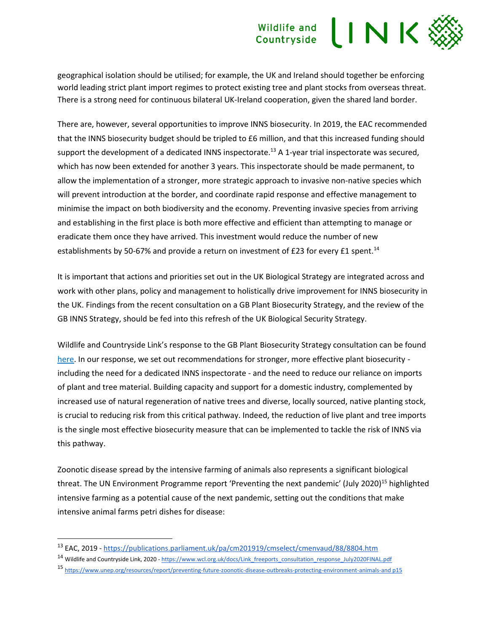geographical isolation should be utilised; for example, the UK and Ireland should together be enforcing world leading strict plant import regimes to protect existing tree and plant stocks from overseas threat. There is a strong need for continuous bilateral UK-Ireland cooperation, given the shared land border.

There are, however, several opportunities to improve INNS biosecurity. In 2019, the EAC recommended that the INNS biosecurity budget should be tripled to £6 million, and that this increased funding should support the development of a dedicated INNS inspectorate.<sup>13</sup> A 1-year trial inspectorate was secured, which has now been extended for another 3 years. This inspectorate should be made permanent, to allow the implementation of a stronger, more strategic approach to invasive non-native species which will prevent introduction at the border, and coordinate rapid response and effective management to minimise the impact on both biodiversity and the economy. Preventing invasive species from arriving and establishing in the first place is both more effective and efficient than attempting to manage or eradicate them once they have arrived. This investment would reduce the number of new establishments by 50-67% and provide a return on investment of £23 for every £1 spent.<sup>14</sup>

It is important that actions and priorities set out in the UK Biological Strategy are integrated across and work with other plans, policy and management to holistically drive improvement for INNS biosecurity in the UK. Findings from the recent consultation on a GB Plant Biosecurity Strategy, and the review of the GB INNS Strategy, should be fed into this refresh of the UK Biological Security Strategy.

Wildlife and Countryside Link's response to the GB Plant Biosecurity Strategy consultation can be found [here.](https://www.wcl.org.uk/docs/WCL_Invasive_Species_Working_Group_Response_A_Plant_Biosecurity_Strategy_For_Great_Britain_January_2022.pdf) In our response, we set out recommendations for stronger, more effective plant biosecurity including the need for a dedicated INNS inspectorate - and the need to reduce our reliance on imports of plant and tree material. Building capacity and support for a domestic industry, complemented by increased use of natural regeneration of native trees and diverse, locally sourced, native planting stock, is crucial to reducing risk from this critical pathway. Indeed, the reduction of live plant and tree imports is the single most effective biosecurity measure that can be implemented to tackle the risk of INNS via this pathway.

Zoonotic disease spread by the intensive farming of animals also represents a significant biological threat. The UN Environment Programme report 'Preventing the next pandemic' (July 2020)<sup>15</sup> highlighted intensive farming as a potential cause of the next pandemic, setting out the conditions that make intensive animal farms petri dishes for disease:

<sup>13</sup> EAC, 2019 - <https://publications.parliament.uk/pa/cm201919/cmselect/cmenvaud/88/8804.htm>

<sup>14</sup> Wildlife and Countryside Link, 2020 - [https://www.wcl.org.uk/docs/Link\\_freeports\\_consultation\\_response\\_July2020FINAL.pdf](https://www.wcl.org.uk/docs/Link_freeports_consultation_response_July2020FINAL.pdf)

<sup>15</sup> [https://www.unep.org/resources/report/preventing-future-zoonotic-disease-outbreaks-protecting-environment-animals-and p15](https://www.unep.org/resources/report/preventing-future-zoonotic-disease-outbreaks-protecting-environment-animals-and%20p15)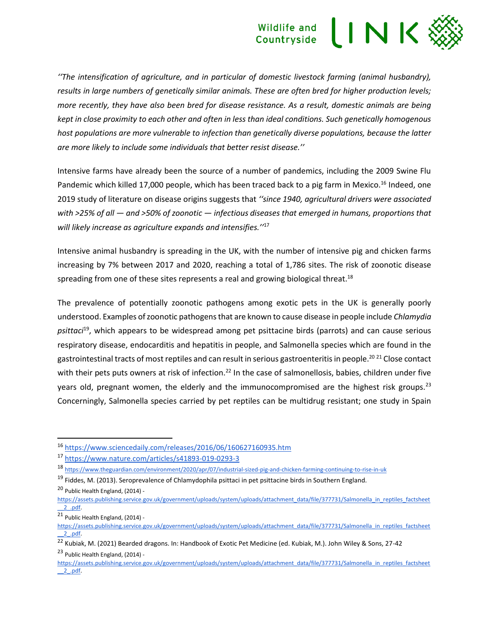## IINK Wildlife and Countryside

*''The intensification of agriculture, and in particular of domestic livestock farming (animal husbandry), results in large numbers of genetically similar animals. These are often bred for higher production levels; more recently, they have also been bred for disease resistance. As a result, domestic animals are being kept in close proximity to each other and often in less than ideal conditions. Such genetically homogenous host populations are more vulnerable to infection than genetically diverse populations, because the latter are more likely to include some individuals that better resist disease.''*

Intensive farms have already been the source of a number of pandemics, including the 2009 Swine Flu Pandemic which killed 17,000 people, which has been traced back to a pig farm in Mexico.<sup>16</sup> Indeed, one 2019 study of literature on disease origins suggests that *''since 1940, agricultural drivers were associated with >25% of all — and >50% of zoonotic — infectious diseases that emerged in humans, proportions that will likely increase as agriculture expands and intensifies.''*<sup>17</sup>

Intensive animal husbandry is spreading in the UK, with the number of intensive pig and chicken farms increasing by 7% between 2017 and 2020, reaching a total of 1,786 sites. The risk of zoonotic disease spreading from one of these sites represents a real and growing biological threat.<sup>18</sup>

The prevalence of potentially zoonotic pathogens among exotic pets in the UK is generally poorly understood. Examples of zoonotic pathogens that are known to cause disease in people include *Chlamydia psittaci*<sup>19</sup>, which appears to be widespread among pet psittacine birds (parrots) and can cause serious respiratory disease, endocarditis and hepatitis in people, and Salmonella species which are found in the gastrointestinal tracts of most reptiles and can result in serious gastroenteritis in people.<sup>20 21</sup> Close contact with their pets puts owners at risk of infection.<sup>22</sup> In the case of salmonellosis, babies, children under five years old, pregnant women, the elderly and the immunocompromised are the highest risk groups.<sup>23</sup> Concerningly, Salmonella species carried by pet reptiles can be multidrug resistant; one study in Spain

<sup>16</sup> <https://www.sciencedaily.com/releases/2016/06/160627160935.htm>

<sup>17</sup> <https://www.nature.com/articles/s41893-019-0293-3>

<sup>18</sup> <https://www.theguardian.com/environment/2020/apr/07/industrial-sized-pig-and-chicken-farming-continuing-to-rise-in-uk>

<sup>&</sup>lt;sup>19</sup> Fiddes. M. (2013). Seroprevalence of Chlamydophila psittaci in pet psittacine birds in Southern England.

<sup>20</sup> Public Health England, (2014) -

[https://assets.publishing.service.gov.uk/government/uploads/system/uploads/attachment\\_data/file/377731/Salmonella\\_in\\_reptiles\\_factsheet](https://assets.publishing.service.gov.uk/government/uploads/system/uploads/attachment_data/file/377731/Salmonella_in_reptiles_factsheet__2_.pdf) [\\_\\_2\\_.pdf.](https://assets.publishing.service.gov.uk/government/uploads/system/uploads/attachment_data/file/377731/Salmonella_in_reptiles_factsheet__2_.pdf) 

<sup>21</sup> Public Health England, (2014) -

[https://assets.publishing.service.gov.uk/government/uploads/system/uploads/attachment\\_data/file/377731/Salmonella\\_in\\_reptiles\\_factsheet](https://assets.publishing.service.gov.uk/government/uploads/system/uploads/attachment_data/file/377731/Salmonella_in_reptiles_factsheet__2_.pdf) [\\_\\_2\\_.pdf.](https://assets.publishing.service.gov.uk/government/uploads/system/uploads/attachment_data/file/377731/Salmonella_in_reptiles_factsheet__2_.pdf) 

<sup>22</sup> Kubiak, M. (2021) Bearded dragons. In: Handbook of Exotic Pet Medicine (ed. Kubiak, M.). John Wiley & Sons, 27-42 <sup>23</sup> Public Health England, (2014) -

[https://assets.publishing.service.gov.uk/government/uploads/system/uploads/attachment\\_data/file/377731/Salmonella\\_in\\_reptiles\\_factsheet](https://assets.publishing.service.gov.uk/government/uploads/system/uploads/attachment_data/file/377731/Salmonella_in_reptiles_factsheet__2_.pdf) [\\_\\_2\\_.pdf.](https://assets.publishing.service.gov.uk/government/uploads/system/uploads/attachment_data/file/377731/Salmonella_in_reptiles_factsheet__2_.pdf)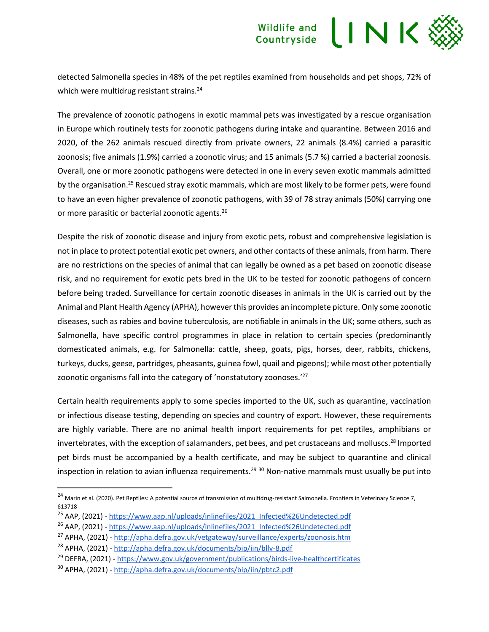

detected Salmonella species in 48% of the pet reptiles examined from households and pet shops, 72% of which were multidrug resistant strains.<sup>24</sup>

The prevalence of zoonotic pathogens in exotic mammal pets was investigated by a rescue organisation in Europe which routinely tests for zoonotic pathogens during intake and quarantine. Between 2016 and 2020, of the 262 animals rescued directly from private owners, 22 animals (8.4%) carried a parasitic zoonosis; five animals (1.9%) carried a zoonotic virus; and 15 animals (5.7 %) carried a bacterial zoonosis. Overall, one or more zoonotic pathogens were detected in one in every seven exotic mammals admitted by the organisation.<sup>25</sup> Rescued stray exotic mammals, which are most likely to be former pets, were found to have an even higher prevalence of zoonotic pathogens, with 39 of 78 stray animals (50%) carrying one or more parasitic or bacterial zoonotic agents.<sup>26</sup>

Despite the risk of zoonotic disease and injury from exotic pets, robust and comprehensive legislation is not in place to protect potential exotic pet owners, and other contacts of these animals, from harm. There are no restrictions on the species of animal that can legally be owned as a pet based on zoonotic disease risk, and no requirement for exotic pets bred in the UK to be tested for zoonotic pathogens of concern before being traded. Surveillance for certain zoonotic diseases in animals in the UK is carried out by the Animal and Plant Health Agency (APHA), however this provides an incomplete picture. Only some zoonotic diseases, such as rabies and bovine tuberculosis, are notifiable in animals in the UK; some others, such as Salmonella, have specific control programmes in place in relation to certain species (predominantly domesticated animals, e.g. for Salmonella: cattle, sheep, goats, pigs, horses, deer, rabbits, chickens, turkeys, ducks, geese, partridges, pheasants, guinea fowl, quail and pigeons); while most other potentially zoonotic organisms fall into the category of 'nonstatutory zoonoses.'<sup>27</sup>

Certain health requirements apply to some species imported to the UK, such as quarantine, vaccination or infectious disease testing, depending on species and country of export. However, these requirements are highly variable. There are no animal health import requirements for pet reptiles, amphibians or invertebrates, with the exception of salamanders, pet bees, and pet crustaceans and molluscs.<sup>28</sup> Imported pet birds must be accompanied by a health certificate, and may be subject to quarantine and clinical inspection in relation to avian influenza requirements.<sup>29 30</sup> Non-native mammals must usually be put into

<sup>&</sup>lt;sup>24</sup> Marin et al. (2020). Pet Reptiles: A potential source of transmission of multidrug-resistant Salmonella. Frontiers in Veterinary Science 7, 613718

<sup>&</sup>lt;sup>25</sup> AAP, (2021) - [https://www.aap.nl/uploads/inlinefiles/2021\\_Infected%26Undetected.pdf](https://www.aap.nl/uploads/inlinefiles/2021_Infected%26Undetected.pdf)

<sup>&</sup>lt;sup>26</sup> AAP, (2021) - [https://www.aap.nl/uploads/inlinefiles/2021\\_Infected%26Undetected.pdf](https://www.aap.nl/uploads/inlinefiles/2021_Infected%26Undetected.pdf)

<sup>27</sup> APHA, (2021) - <http://apha.defra.gov.uk/vetgateway/surveillance/experts/zoonosis.htm>

<sup>28</sup> APHA, (2021) - <http://apha.defra.gov.uk/documents/bip/iin/bllv-8.pdf>

<sup>29</sup> DEFRA, (2021) - <https://www.gov.uk/government/publications/birds-live-healthcertificates>

<sup>30</sup> APHA, (2021) - <http://apha.defra.gov.uk/documents/bip/iin/pbtc2.pdf>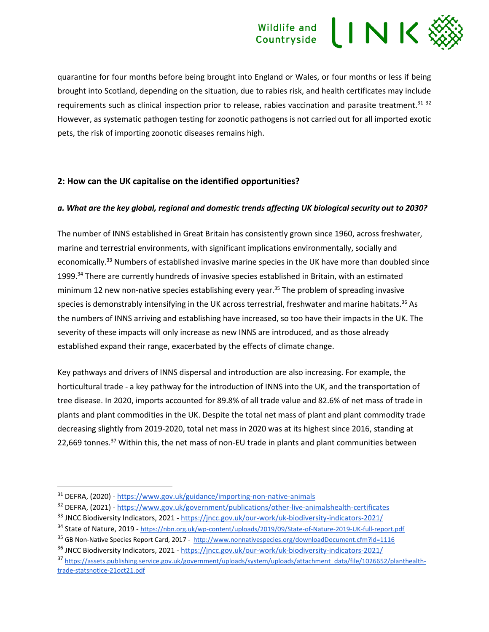quarantine for four months before being brought into England or Wales, or four months or less if being brought into Scotland, depending on the situation, due to rabies risk, and health certificates may include requirements such as clinical inspection prior to release, rabies vaccination and parasite treatment.<sup>31</sup> <sup>32</sup> However, as systematic pathogen testing for zoonotic pathogens is not carried out for all imported exotic pets, the risk of importing zoonotic diseases remains high.

#### **2: How can the UK capitalise on the identified opportunities?**

#### *a. What are the key global, regional and domestic trends affecting UK biological security out to 2030?*

The number of INNS established in Great Britain has consistently grown since 1960, across freshwater, marine and terrestrial environments, with significant implications environmentally, socially and economically.<sup>33</sup> Numbers of established invasive marine species in the UK have more than doubled since 1999.<sup>34</sup> There are currently hundreds of invasive species established in Britain, with an estimated minimum 12 new non-native species establishing every year.<sup>35</sup> The problem of spreading invasive species is demonstrably intensifying in the UK across terrestrial, freshwater and marine habitats.<sup>36</sup> As the numbers of INNS arriving and establishing have increased, so too have their impacts in the UK. The severity of these impacts will only increase as new INNS are introduced, and as those already established expand their range, exacerbated by the effects of climate change.

Key pathways and drivers of INNS dispersal and introduction are also increasing. For example, the horticultural trade - a key pathway for the introduction of INNS into the UK, and the transportation of tree disease. In 2020, imports accounted for 89.8% of all trade value and 82.6% of net mass of trade in plants and plant commodities in the UK. Despite the total net mass of plant and plant commodity trade decreasing slightly from 2019-2020, total net mass in 2020 was at its highest since 2016, standing at 22,669 tonnes.<sup>37</sup> Within this, the net mass of non-EU trade in plants and plant communities between

<sup>31</sup> DEFRA, (2020) - <https://www.gov.uk/guidance/importing-non-native-animals>

<sup>32</sup> DEFRA, (2021) - <https://www.gov.uk/government/publications/other-live-animalshealth-certificates>

<sup>&</sup>lt;sup>33</sup> JNCC Biodiversity Indicators, 2021 - https://incc.gov.uk/our-work/uk-biodiversity-indicators-2021/

<sup>34</sup> State of Nature, 2019 - <https://nbn.org.uk/wp-content/uploads/2019/09/State-of-Nature-2019-UK-full-report.pdf>

<sup>&</sup>lt;sup>35</sup> GB Non-Native Species Report Card, 2017 -<http://www.nonnativespecies.org/downloadDocument.cfm?id=1116>

<sup>36</sup> JNCC Biodiversity Indicators, 2021 - <https://jncc.gov.uk/our-work/uk-biodiversity-indicators-2021/>

<sup>37</sup> [https://assets.publishing.service.gov.uk/government/uploads/system/uploads/attachment\\_data/file/1026652/planthealth](https://assets.publishing.service.gov.uk/government/uploads/system/uploads/attachment_data/file/1026652/planthealth-trade-statsnotice-21oct21.pdf)[trade-statsnotice-21oct21.pdf](https://assets.publishing.service.gov.uk/government/uploads/system/uploads/attachment_data/file/1026652/planthealth-trade-statsnotice-21oct21.pdf)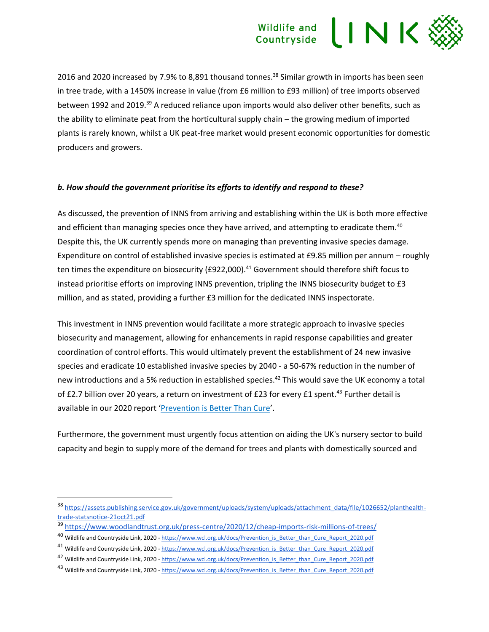2016 and 2020 increased by 7.9% to 8,891 thousand tonnes.<sup>38</sup> Similar growth in imports has been seen in tree trade, with a 1450% increase in value (from £6 million to £93 million) of tree imports observed between 1992 and 2019.<sup>39</sup> A reduced reliance upon imports would also deliver other benefits, such as the ability to eliminate peat from the horticultural supply chain – the growing medium of imported plants is rarely known, whilst a UK peat-free market would present economic opportunities for domestic producers and growers.

#### *b. How should the government prioritise its efforts to identify and respond to these?*

As discussed, the prevention of INNS from arriving and establishing within the UK is both more effective and efficient than managing species once they have arrived, and attempting to eradicate them.<sup>40</sup> Despite this, the UK currently spends more on managing than preventing invasive species damage. Expenditure on control of established invasive species is estimated at £9.85 million per annum – roughly ten times the expenditure on biosecurity (£922,000).<sup>41</sup> Government should therefore shift focus to instead prioritise efforts on improving INNS prevention, tripling the INNS biosecurity budget to £3 million, and as stated, providing a further £3 million for the dedicated INNS inspectorate.

This investment in INNS prevention would facilitate a more strategic approach to invasive species biosecurity and management, allowing for enhancements in rapid response capabilities and greater coordination of control efforts. This would ultimately prevent the establishment of 24 new invasive species and eradicate 10 established invasive species by 2040 - a 50-67% reduction in the number of new introductions and a 5% reduction in established species.<sup>42</sup> This would save the UK economy a total of £2.7 billion over 20 years, a return on investment of £23 for every £1 spent.<sup>43</sup> Further detail is available in our 2020 report '[Prevention is Better Than Cure](https://www.wcl.org.uk/docs/Prevention_is_Better_than_Cure_Report_2020.pdf)'.

Furthermore, the government must urgently focus attention on aiding the UK's nursery sector to build capacity and begin to supply more of the demand for trees and plants with domestically sourced and

<sup>38</sup> [https://assets.publishing.service.gov.uk/government/uploads/system/uploads/attachment\\_data/file/1026652/planthealth](https://assets.publishing.service.gov.uk/government/uploads/system/uploads/attachment_data/file/1026652/planthealth-trade-statsnotice-21oct21.pdf)[trade-statsnotice-21oct21.pdf](https://assets.publishing.service.gov.uk/government/uploads/system/uploads/attachment_data/file/1026652/planthealth-trade-statsnotice-21oct21.pdf)

<sup>39</sup> <https://www.woodlandtrust.org.uk/press-centre/2020/12/cheap-imports-risk-millions-of-trees/>

<sup>40</sup> Wildlife and Countryside Link, 2020 - [https://www.wcl.org.uk/docs/Prevention\\_is\\_Better\\_than\\_Cure\\_Report\\_2020.pdf](https://www.wcl.org.uk/docs/Prevention_is_Better_than_Cure_Report_2020.pdf)

<sup>&</sup>lt;sup>41</sup> Wildlife and Countryside Link, 2020 - [https://www.wcl.org.uk/docs/Prevention\\_is\\_Better\\_than\\_Cure\\_Report\\_2020.pdf](https://www.wcl.org.uk/docs/Prevention_is_Better_than_Cure_Report_2020.pdf)

<sup>&</sup>lt;sup>42</sup> Wildlife and Countryside Link, 2020 - [https://www.wcl.org.uk/docs/Prevention\\_is\\_Better\\_than\\_Cure\\_Report\\_2020.pdf](https://www.wcl.org.uk/docs/Prevention_is_Better_than_Cure_Report_2020.pdf)

<sup>43</sup> Wildlife and Countryside Link, 2020 - [https://www.wcl.org.uk/docs/Prevention\\_is\\_Better\\_than\\_Cure\\_Report\\_2020.pdf](https://www.wcl.org.uk/docs/Prevention_is_Better_than_Cure_Report_2020.pdf)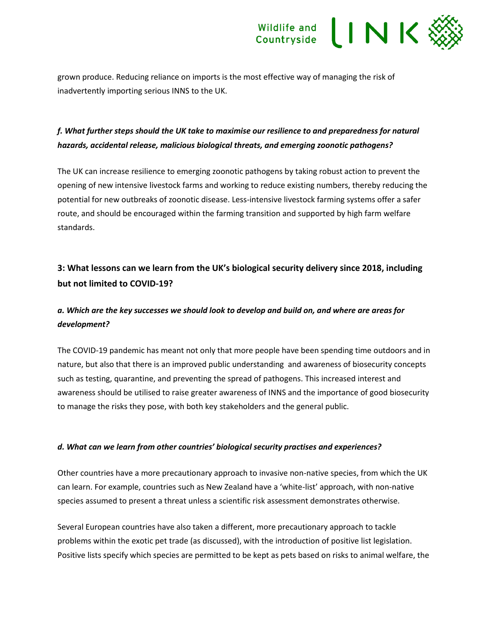

grown produce. Reducing reliance on imports is the most effective way of managing the risk of inadvertently importing serious INNS to the UK.

### *f. What further steps should the UK take to maximise our resilience to and preparedness for natural hazards, accidental release, malicious biological threats, and emerging zoonotic pathogens?*

The UK can increase resilience to emerging zoonotic pathogens by taking robust action to prevent the opening of new intensive livestock farms and working to reduce existing numbers, thereby reducing the potential for new outbreaks of zoonotic disease. Less-intensive livestock farming systems offer a safer route, and should be encouraged within the farming transition and supported by high farm welfare standards.

## **3: What lessons can we learn from the UK's biological security delivery since 2018, including but not limited to COVID-19?**

### *a. Which are the key successes we should look to develop and build on, and where are areas for development?*

The COVID-19 pandemic has meant not only that more people have been spending time outdoors and in nature, but also that there is an improved public understanding and awareness of biosecurity concepts such as testing, quarantine, and preventing the spread of pathogens. This increased interest and awareness should be utilised to raise greater awareness of INNS and the importance of good biosecurity to manage the risks they pose, with both key stakeholders and the general public.

#### *d. What can we learn from other countries' biological security practises and experiences?*

Other countries have a more precautionary approach to invasive non-native species, from which the UK can learn. For example, countries such as New Zealand have a 'white-list' approach, with non-native species assumed to present a threat unless a scientific risk assessment demonstrates otherwise.

Several European countries have also taken a different, more precautionary approach to tackle problems within the exotic pet trade (as discussed), with the introduction of positive list legislation. Positive lists specify which species are permitted to be kept as pets based on risks to animal welfare, the